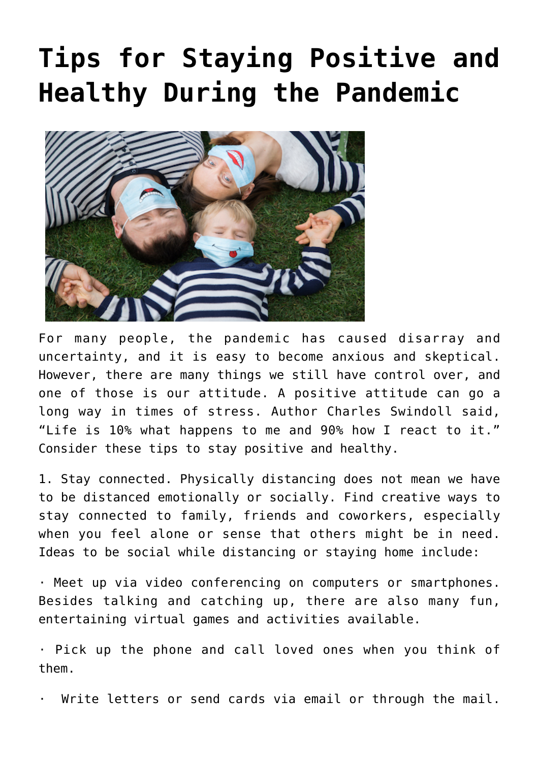## **[Tips for Staying Positive and](https://livewellutah.org/2020/11/02/tips-for-staying-positive-and-healthy-during-the-pandemic/) [Healthy During the Pandemic](https://livewellutah.org/2020/11/02/tips-for-staying-positive-and-healthy-during-the-pandemic/)**



For many people, the pandemic has caused disarray and uncertainty, and it is easy to become anxious and skeptical. However, there are many things we still have control over, and one of those is our attitude. A positive attitude can go a long way in times of stress. Author Charles Swindoll said, "Life is 10% what happens to me and 90% how I react to it." Consider these tips to stay positive and healthy.

1. Stay connected. Physically distancing does not mean we have to be distanced emotionally or socially. Find creative ways to stay connected to family, friends and coworkers, especially when you feel alone or sense that others might be in need. Ideas to be social while distancing or staying home include:

· Meet up via video conferencing on computers or smartphones. Besides talking and catching up, there are also many fun, entertaining virtual games and activities available.

· Pick up the phone and call loved ones when you think of them.

Write letters or send cards via email or through the mail.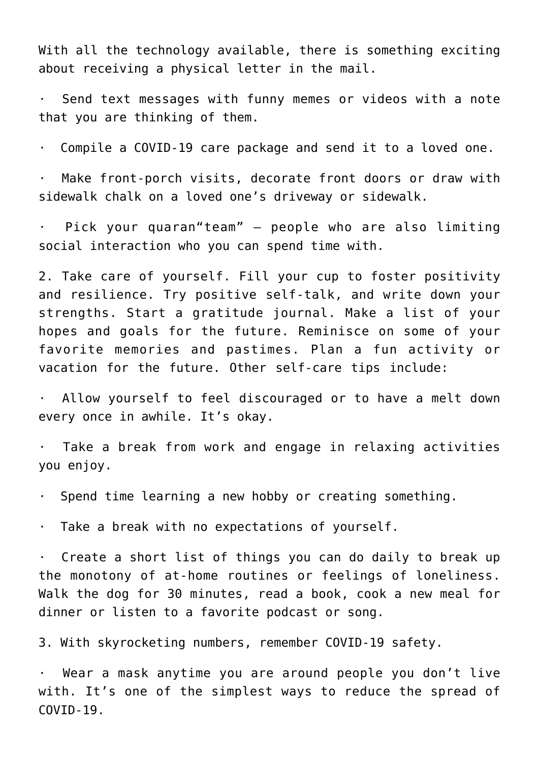With all the technology available, there is something exciting about receiving a physical letter in the mail.

· Send text messages with funny memes or videos with a note that you are thinking of them.

· Compile a COVID-19 care package and send it to a loved one.

Make front-porch visits, decorate front doors or draw with sidewalk chalk on a loved one's driveway or sidewalk.

· Pick your quaran"team" – people who are also limiting social interaction who you can spend time with.

2. Take care of yourself. Fill your cup to foster positivity and resilience. Try positive self-talk, and write down your strengths. Start a gratitude journal. Make a list of your hopes and goals for the future. Reminisce on some of your favorite memories and pastimes. Plan a fun activity or vacation for the future. Other self-care tips include:

· Allow yourself to feel discouraged or to have a melt down every once in awhile. It's okay.

Take a break from work and engage in relaxing activities you enjoy.

· Spend time learning a new hobby or creating something.

· Take a break with no expectations of yourself.

· Create a short list of things you can do daily to break up the monotony of at-home routines or feelings of loneliness. Walk the dog for 30 minutes, read a book, cook a new meal for dinner or listen to a favorite podcast or song.

3. With skyrocketing numbers, remember COVID-19 safety.

· Wear a mask anytime you are around people you don't live with. It's one of the simplest ways to reduce the spread of COVID-19.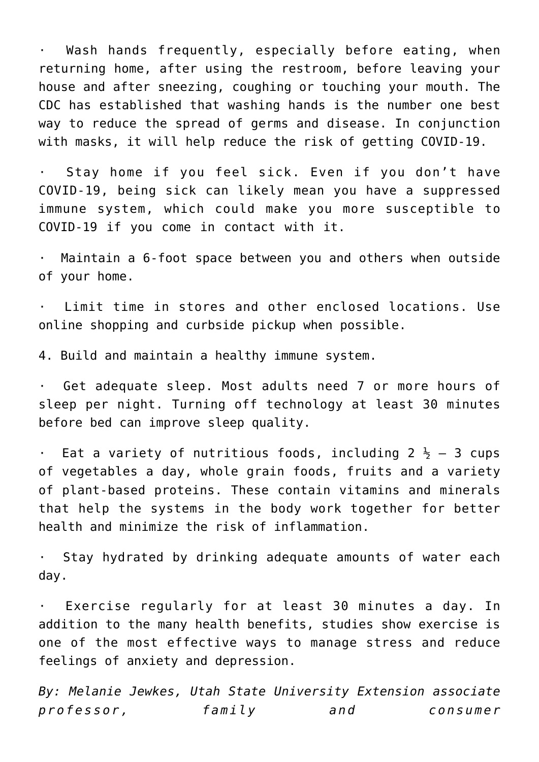· Wash hands frequently, especially before eating, when returning home, after using the restroom, before leaving your house and after sneezing, coughing or touching your mouth. The CDC has established that washing hands is the number one best way to reduce the spread of germs and disease. In conjunction with masks, it will help reduce the risk of getting COVID-19.

· Stay home if you feel sick. Even if you don't have COVID-19, being sick can likely mean you have a suppressed immune system, which could make you more susceptible to COVID-19 if you come in contact with it.

Maintain a 6-foot space between you and others when outside of your home.

· Limit time in stores and other enclosed locations. Use online shopping and curbside pickup when possible.

4. Build and maintain a healthy immune system.

· Get adequate sleep. Most adults need 7 or more hours of sleep per night. Turning off technology at least 30 minutes before bed can improve sleep quality.

 $\cdot$  Eat a variety of nutritious foods, including 2  $\frac{1}{2}$  - 3 cups of vegetables a day, whole grain foods, fruits and a variety of plant-based proteins. These contain vitamins and minerals that help the systems in the body work together for better health and minimize the risk of inflammation.

· Stay hydrated by drinking adequate amounts of water each day.

· Exercise regularly for at least 30 minutes a day. In addition to the many health benefits, studies show exercise is one of the most effective ways to manage stress and reduce feelings of anxiety and depression.

*By: Melanie Jewkes, Utah State University Extension associate professor, family and consumer*